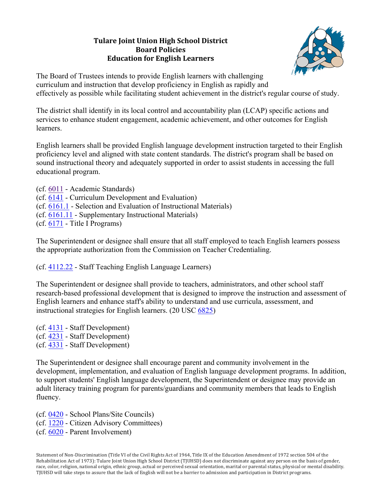# **Tulare Joint Union High School District Board'Policies' Education'for'English'Learners**



The Board of Trustees intends to provide English learners with challenging curriculum and instruction that develop proficiency in English as rapidly and effectively as possible while facilitating student achievement in the district's regular course of study.

The district shall identify in its local control and accountability plan (LCAP) specific actions and services to enhance student engagement, academic achievement, and other outcomes for English learners.

English learners shall be provided English language development instruction targeted to their English proficiency level and aligned with state content standards. The district's program shall be based on sound instructional theory and adequately supported in order to assist students in accessing the full educational program.

- (cf. 6011 Academic Standards)
- (cf. 6141 Curriculum Development and Evaluation)
- (cf. 6161.1 Selection and Evaluation of Instructional Materials)
- (cf. 6161.11 Supplementary Instructional Materials)
- (cf. 6171 Title I Programs)

The Superintendent or designee shall ensure that all staff employed to teach English learners possess the appropriate authorization from the Commission on Teacher Credentialing.

(cf. 4112.22 - Staff Teaching English Language Learners)

The Superintendent or designee shall provide to teachers, administrators, and other school staff research-based professional development that is designed to improve the instruction and assessment of English learners and enhance staff's ability to understand and use curricula, assessment, and instructional strategies for English learners. (20 USC 6825)

(cf. 4131 - Staff Development) (cf. 4231 - Staff Development) (cf. 4331 - Staff Development)

The Superintendent or designee shall encourage parent and community involvement in the development, implementation, and evaluation of English language development programs. In addition, to support students' English language development, the Superintendent or designee may provide an adult literacy training program for parents/guardians and community members that leads to English fluency.

(cf. 0420 - School Plans/Site Councils) (cf. 1220 - Citizen Advisory Committees) (cf. 6020 - Parent Involvement)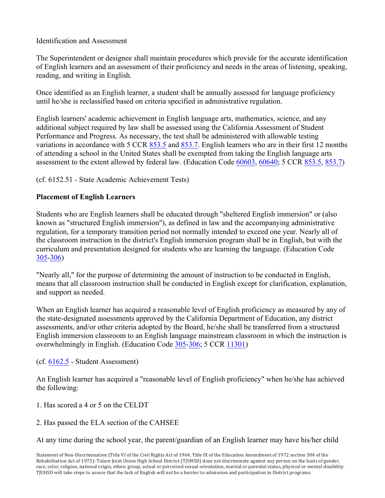#### Identification and Assessment

The Superintendent or designee shall maintain procedures which provide for the accurate identification of English learners and an assessment of their proficiency and needs in the areas of listening, speaking, reading, and writing in English.

Once identified as an English learner, a student shall be annually assessed for language proficiency until he/she is reclassified based on criteria specified in administrative regulation.

English learners' academic achievement in English language arts, mathematics, science, and any additional subject required by law shall be assessed using the California Assessment of Student Performance and Progress. As necessary, the test shall be administered with allowable testing variations in accordance with 5 CCR 853.5 and 853.7. English learners who are in their first 12 months of attending a school in the United States shall be exempted from taking the English language arts assessment to the extent allowed by federal law. (Education Code 60603, 60640; 5 CCR 853.5, 853.7)

(cf. 6152.51 - State Academic Achievement Tests)

#### **Placement of English Learners**

Students who are English learners shall be educated through "sheltered English immersion" or (also known as "structured English immersion"), as defined in law and the accompanying administrative regulation, for a temporary transition period not normally intended to exceed one year. Nearly all of the classroom instruction in the district's English immersion program shall be in English, but with the curriculum and presentation designed for students who are learning the language. (Education Code 305-306)

"Nearly all," for the purpose of determining the amount of instruction to be conducted in English, means that all classroom instruction shall be conducted in English except for clarification, explanation, and support as needed.

When an English learner has acquired a reasonable level of English proficiency as measured by any of the state-designated assessments approved by the California Department of Education, any district assessments, and/or other criteria adopted by the Board, he/she shall be transferred from a structured English immersion classroom to an English language mainstream classroom in which the instruction is overwhelmingly in English. (Education Code 305-306; 5 CCR 11301)

(cf. 6162.5 - Student Assessment)

An English learner has acquired a "reasonable level of English proficiency" when he/she has achieved the following:

1. Has scored a 4 or 5 on the CELDT

2. Has passed the ELA section of the CAHSEE

At any time during the school year, the parent/guardian of an English learner may have his/her child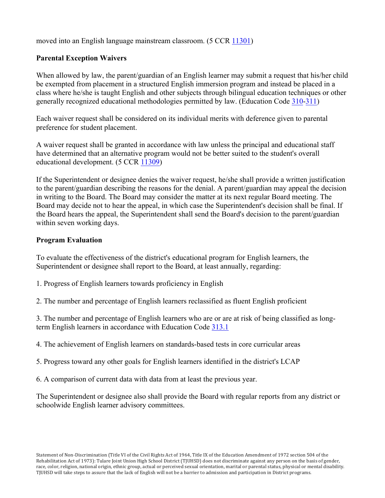moved into an English language mainstream classroom. (5 CCR 11301)

### **Parental Exception Waivers**

When allowed by law, the parent/guardian of an English learner may submit a request that his/her child be exempted from placement in a structured English immersion program and instead be placed in a class where he/she is taught English and other subjects through bilingual education techniques or other generally recognized educational methodologies permitted by law. (Education Code 310-311)

Each waiver request shall be considered on its individual merits with deference given to parental preference for student placement.

A waiver request shall be granted in accordance with law unless the principal and educational staff have determined that an alternative program would not be better suited to the student's overall educational development. (5 CCR 11309)

If the Superintendent or designee denies the waiver request, he/she shall provide a written justification to the parent/guardian describing the reasons for the denial. A parent/guardian may appeal the decision in writing to the Board. The Board may consider the matter at its next regular Board meeting. The Board may decide not to hear the appeal, in which case the Superintendent's decision shall be final. If the Board hears the appeal, the Superintendent shall send the Board's decision to the parent/guardian within seven working days.

### **Program Evaluation**

To evaluate the effectiveness of the district's educational program for English learners, the Superintendent or designee shall report to the Board, at least annually, regarding:

- 1. Progress of English learners towards proficiency in English
- 2. The number and percentage of English learners reclassified as fluent English proficient

3. The number and percentage of English learners who are or are at risk of being classified as longterm English learners in accordance with Education Code 313.1

4. The achievement of English learners on standards-based tests in core curricular areas

5. Progress toward any other goals for English learners identified in the district's LCAP

6. A comparison of current data with data from at least the previous year.

The Superintendent or designee also shall provide the Board with regular reports from any district or schoolwide English learner advisory committees.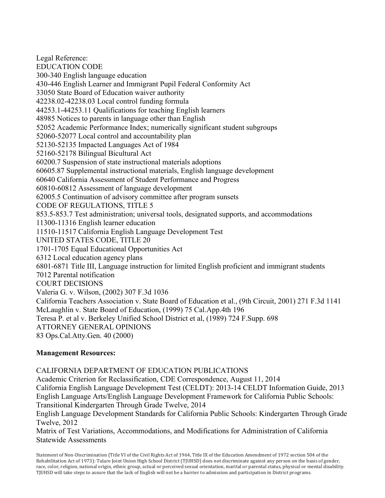Legal Reference: EDUCATION CODE 300-340 English language education 430-446 English Learner and Immigrant Pupil Federal Conformity Act 33050 State Board of Education waiver authority 42238.02-42238.03 Local control funding formula 44253.1-44253.11 Qualifications for teaching English learners 48985 Notices to parents in language other than English 52052 Academic Performance Index; numerically significant student subgroups 52060-52077 Local control and accountability plan 52130-52135 Impacted Languages Act of 1984 52160-52178 Bilingual Bicultural Act 60200.7 Suspension of state instructional materials adoptions 60605.87 Supplemental instructional materials, English language development 60640 California Assessment of Student Performance and Progress 60810-60812 Assessment of language development 62005.5 Continuation of advisory committee after program sunsets CODE OF REGULATIONS, TITLE 5 853.5-853.7 Test administration; universal tools, designated supports, and accommodations 11300-11316 English learner education 11510-11517 California English Language Development Test UNITED STATES CODE, TITLE 20 1701-1705 Equal Educational Opportunities Act 6312 Local education agency plans 6801-6871 Title III, Language instruction for limited English proficient and immigrant students 7012 Parental notification COURT DECISIONS Valeria G. v. Wilson, (2002) 307 F.3d 1036 California Teachers Association v. State Board of Education et al., (9th Circuit, 2001) 271 F.3d 1141 McLaughlin v. State Board of Education, (1999) 75 Cal.App.4th 196 Teresa P. et al v. Berkeley Unified School District et al, (1989) 724 F.Supp. 698 ATTORNEY GENERAL OPINIONS 83 Ops.Cal.Atty.Gen. 40 (2000)

#### **Management Resources:**

CALIFORNIA DEPARTMENT OF EDUCATION PUBLICATIONS Academic Criterion for Reclassification, CDE Correspondence, August 11, 2014 California English Language Development Test (CELDT): 2013-14 CELDT Information Guide, 2013 English Language Arts/English Language Development Framework for California Public Schools: Transitional Kindergarten Through Grade Twelve, 2014 English Language Development Standards for California Public Schools: Kindergarten Through Grade Twelve, 2012 Matrix of Test Variations, Accommodations, and Modifications for Administration of California Statewide Assessments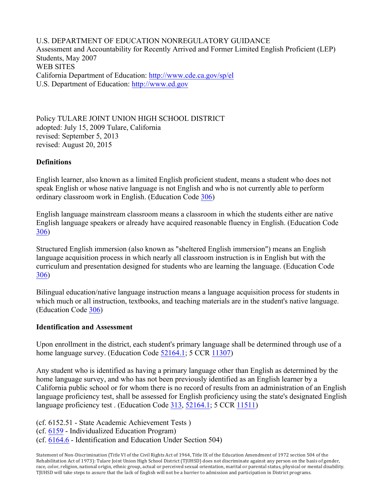U.S. DEPARTMENT OF EDUCATION NONREGULATORY GUIDANCE Assessment and Accountability for Recently Arrived and Former Limited English Proficient (LEP) Students, May 2007 WEB SITES California Department of Education: http://www.cde.ca.gov/sp/el U.S. Department of Education: http://www.ed.gov

Policy TULARE JOINT UNION HIGH SCHOOL DISTRICT adopted: July 15, 2009 Tulare, California revised: September 5, 2013 revised: August 20, 2015

#### **Definitions**

English learner, also known as a limited English proficient student, means a student who does not speak English or whose native language is not English and who is not currently able to perform ordinary classroom work in English. (Education Code 306)

English language mainstream classroom means a classroom in which the students either are native English language speakers or already have acquired reasonable fluency in English. (Education Code 306)

Structured English immersion (also known as "sheltered English immersion") means an English language acquisition process in which nearly all classroom instruction is in English but with the curriculum and presentation designed for students who are learning the language. (Education Code 306)

Bilingual education/native language instruction means a language acquisition process for students in which much or all instruction, textbooks, and teaching materials are in the student's native language. (Education Code 306)

#### **Identification and Assessment**

Upon enrollment in the district, each student's primary language shall be determined through use of a home language survey. (Education Code 52164.1; 5 CCR 11307)

Any student who is identified as having a primary language other than English as determined by the home language survey, and who has not been previously identified as an English learner by a California public school or for whom there is no record of results from an administration of an English language proficiency test, shall be assessed for English proficiency using the state's designated English language proficiency test . (Education Code 313, 52164.1; 5 CCR 11511)

(cf. 6152.51 - State Academic Achievement Tests )

(cf. 6159 - Individualized Education Program)

(cf. 6164.6 - Identification and Education Under Section 504)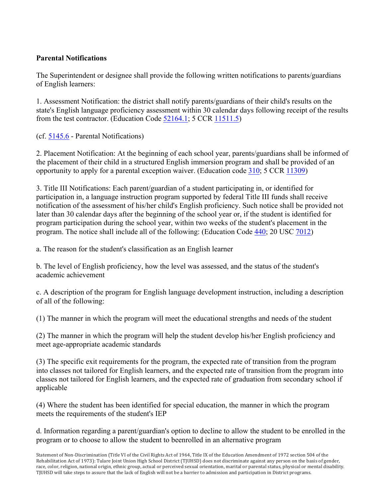## **Parental Notifications**

The Superintendent or designee shall provide the following written notifications to parents/guardians of English learners:

1. Assessment Notification: the district shall notify parents/guardians of their child's results on the state's English language proficiency assessment within 30 calendar days following receipt of the results from the test contractor. (Education Code 52164.1; 5 CCR 11511.5)

(cf. 5145.6 - Parental Notifications)

2. Placement Notification: At the beginning of each school year, parents/guardians shall be informed of the placement of their child in a structured English immersion program and shall be provided of an opportunity to apply for a parental exception waiver. (Education code 310; 5 CCR 11309)

3. Title III Notifications: Each parent/guardian of a student participating in, or identified for participation in, a language instruction program supported by federal Title III funds shall receive notification of the assessment of his/her child's English proficiency. Such notice shall be provided not later than 30 calendar days after the beginning of the school year or, if the student is identified for program participation during the school year, within two weeks of the student's placement in the program. The notice shall include all of the following: (Education Code 440; 20 USC 7012)

a. The reason for the student's classification as an English learner

b. The level of English proficiency, how the level was assessed, and the status of the student's academic achievement

c. A description of the program for English language development instruction, including a description of all of the following:

(1) The manner in which the program will meet the educational strengths and needs of the student

(2) The manner in which the program will help the student develop his/her English proficiency and meet age-appropriate academic standards

(3) The specific exit requirements for the program, the expected rate of transition from the program into classes not tailored for English learners, and the expected rate of transition from the program into classes not tailored for English learners, and the expected rate of graduation from secondary school if applicable

(4) Where the student has been identified for special education, the manner in which the program meets the requirements of the student's IEP

d. Information regarding a parent/guardian's option to decline to allow the student to be enrolled in the program or to choose to allow the student to beenrolled in an alternative program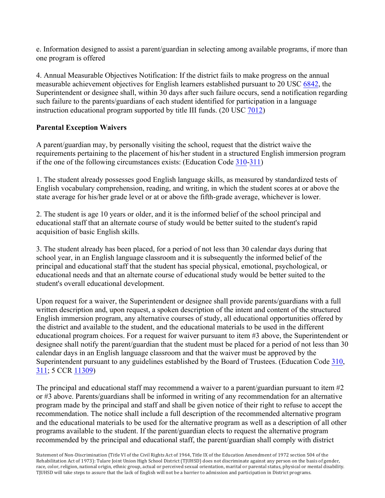e. Information designed to assist a parent/guardian in selecting among available programs, if more than one program is offered

4. Annual Measurable Objectives Notification: If the district fails to make progress on the annual measurable achievement objectives for English learners established pursuant to 20 USC 6842, the Superintendent or designee shall, within 30 days after such failure occurs, send a notification regarding such failure to the parents/guardians of each student identified for participation in a language instruction educational program supported by title III funds. (20 USC 7012)

### **Parental Exception Waivers**

A parent/guardian may, by personally visiting the school, request that the district waive the requirements pertaining to the placement of his/her student in a structured English immersion program if the one of the following circumstances exists: (Education Code 310-311)

1. The student already possesses good English language skills, as measured by standardized tests of English vocabulary comprehension, reading, and writing, in which the student scores at or above the state average for his/her grade level or at or above the fifth-grade average, whichever is lower.

2. The student is age 10 years or older, and it is the informed belief of the school principal and educational staff that an alternate course of study would be better suited to the student's rapid acquisition of basic English skills.

3. The student already has been placed, for a period of not less than 30 calendar days during that school year, in an English language classroom and it is subsequently the informed belief of the principal and educational staff that the student has special physical, emotional, psychological, or educational needs and that an alternate course of educational study would be better suited to the student's overall educational development.

Upon request for a waiver, the Superintendent or designee shall provide parents/guardians with a full written description and, upon request, a spoken description of the intent and content of the structured English immersion program, any alternative courses of study, all educational opportunities offered by the district and available to the student, and the educational materials to be used in the different educational program choices. For a request for waiver pursuant to item #3 above, the Superintendent or designee shall notify the parent/guardian that the student must be placed for a period of not less than 30 calendar days in an English language classroom and that the waiver must be approved by the Superintendent pursuant to any guidelines established by the Board of Trustees. (Education Code 310, 311; 5 CCR 11309)

The principal and educational staff may recommend a waiver to a parent/guardian pursuant to item  $#2$ or #3 above. Parents/guardians shall be informed in writing of any recommendation for an alternative program made by the principal and staff and shall be given notice of their right to refuse to accept the recommendation. The notice shall include a full description of the recommended alternative program and the educational materials to be used for the alternative program as well as a description of all other programs available to the student. If the parent/guardian elects to request the alternative program recommended by the principal and educational staff, the parent/guardian shall comply with district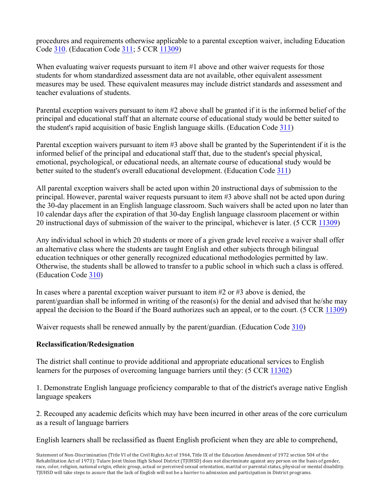procedures and requirements otherwise applicable to a parental exception waiver, including Education Code 310. (Education Code 311; 5 CCR 11309)

When evaluating waiver requests pursuant to item #1 above and other waiver requests for those students for whom standardized assessment data are not available, other equivalent assessment measures may be used. These equivalent measures may include district standards and assessment and teacher evaluations of students.

Parental exception waivers pursuant to item #2 above shall be granted if it is the informed belief of the principal and educational staff that an alternate course of educational study would be better suited to the student's rapid acquisition of basic English language skills. (Education Code 311)

Parental exception waivers pursuant to item #3 above shall be granted by the Superintendent if it is the informed belief of the principal and educational staff that, due to the student's special physical, emotional, psychological, or educational needs, an alternate course of educational study would be better suited to the student's overall educational development. (Education Code 311)

All parental exception waivers shall be acted upon within 20 instructional days of submission to the principal. However, parental waiver requests pursuant to item #3 above shall not be acted upon during the 30-day placement in an English language classroom. Such waivers shall be acted upon no later than 10 calendar days after the expiration of that 30-day English language classroom placement or within 20 instructional days of submission of the waiver to the principal, whichever is later. (5 CCR 11309)

Any individual school in which 20 students or more of a given grade level receive a waiver shall offer an alternative class where the students are taught English and other subjects through bilingual education techniques or other generally recognized educational methodologies permitted by law. Otherwise, the students shall be allowed to transfer to a public school in which such a class is offered. (Education Code 310)

In cases where a parental exception waiver pursuant to item #2 or #3 above is denied, the parent/guardian shall be informed in writing of the reason(s) for the denial and advised that he/she may appeal the decision to the Board if the Board authorizes such an appeal, or to the court. (5 CCR 11309)

Waiver requests shall be renewed annually by the parent/guardian. (Education Code 310)

# **Reclassification/Redesignation**

The district shall continue to provide additional and appropriate educational services to English learners for the purposes of overcoming language barriers until they: (5 CCR 11302)

1. Demonstrate English language proficiency comparable to that of the district's average native English language speakers

2. Recouped any academic deficits which may have been incurred in other areas of the core curriculum as a result of language barriers

English learners shall be reclassified as fluent English proficient when they are able to comprehend,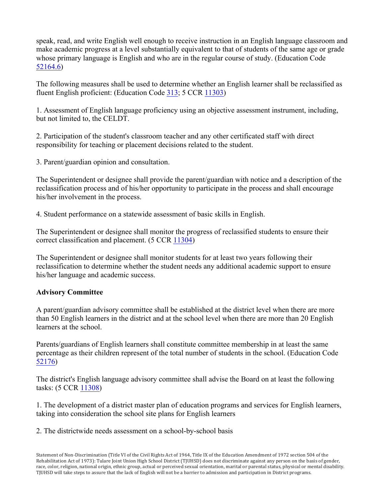speak, read, and write English well enough to receive instruction in an English language classroom and make academic progress at a level substantially equivalent to that of students of the same age or grade whose primary language is English and who are in the regular course of study. (Education Code 52164.6)

The following measures shall be used to determine whether an English learner shall be reclassified as fluent English proficient: (Education Code 313; 5 CCR 11303)

1. Assessment of English language proficiency using an objective assessment instrument, including, but not limited to, the CELDT.

2. Participation of the student's classroom teacher and any other certificated staff with direct responsibility for teaching or placement decisions related to the student.

3. Parent/guardian opinion and consultation.

The Superintendent or designee shall provide the parent/guardian with notice and a description of the reclassification process and of his/her opportunity to participate in the process and shall encourage his/her involvement in the process.

4. Student performance on a statewide assessment of basic skills in English.

The Superintendent or designee shall monitor the progress of reclassified students to ensure their correct classification and placement. (5 CCR 11304)

The Superintendent or designee shall monitor students for at least two years following their reclassification to determine whether the student needs any additional academic support to ensure his/her language and academic success.

#### **Advisory Committee**

A parent/guardian advisory committee shall be established at the district level when there are more than 50 English learners in the district and at the school level when there are more than 20 English learners at the school.

Parents/guardians of English learners shall constitute committee membership in at least the same percentage as their children represent of the total number of students in the school. (Education Code 52176)

The district's English language advisory committee shall advise the Board on at least the following tasks: (5 CCR 11308)

1. The development of a district master plan of education programs and services for English learners, taking into consideration the school site plans for English learners

2. The districtwide needs assessment on a school-by-school basis